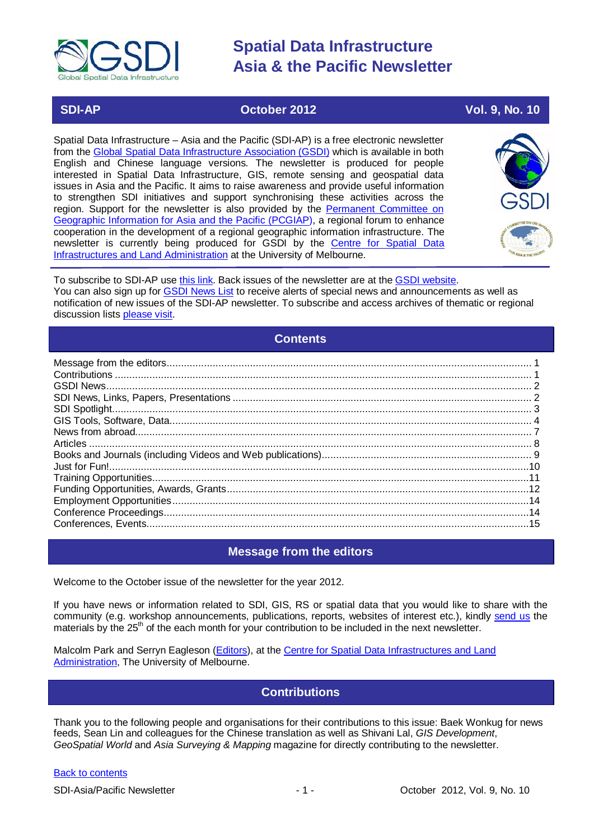

# **SDI-AP October 2012 Vol. 9, No. 10**

Spatial Data Infrastructure – Asia and the Pacific (SDI-AP) is a free electronic newsletter from the [Global Spatial Data Infrastructure Association \(GSDI\)](http://www.gsdi.org/) which is available in both English and Chinese language versions. The newsletter is produced for people interested in Spatial Data Infrastructure, GIS, remote sensing and geospatial data issues in Asia and the Pacific. It aims to raise awareness and provide useful information to strengthen SDI initiatives and support synchronising these activities across the region. Support for the newsletter is also provided by the Permanent Committee on [Geographic Information for Asia and the Pacific \(PCGIAP\)](http://www.pcgiap.org/), a regional forum to enhance cooperation in the development of a regional geographic information infrastructure. The newsletter is currently being produced for GSDI by the [Centre for Spatial Data](http://www.csdila.unimelb.edu.au/)  [Infrastructures and Land Administration](http://www.csdila.unimelb.edu.au/) at the University of Melbourne.



To subscribe to SDI-AP use [this link.](http://www.gsdi.org/newslist/gsdisubscribe.asp) Back issues of the newsletter are at the [GSDI website.](http://www.gsdi.org/newsletters.asp) You can also sign up for [GSDI News List](http://www.gsdi.org/newslist/gsdisubscribe.asp) to receive alerts of special news and announcements as well as notification of new issues of the SDI-AP newsletter. To subscribe and access archives of thematic or regional discussion lists [please visit.](http://www.gsdi.org/discussionlists.asp)

# **Contents**

<span id="page-0-0"></span>

# **Message from the editors**

<span id="page-0-1"></span>Welcome to the October issue of the newsletter for the year 2012.

If you have news or information related to SDI, GIS, RS or spatial data that you would like to share with the community (e.g. workshop announcements, publications, reports, websites of interest etc.), kindly [send us](mailto:.SDI-AP@gsdi.org) the materials by the 25<sup>th</sup> of the each month for your contribution to be included in the next newsletter.

<span id="page-0-2"></span>Malcolm Park and Serryn Eagleson [\(Editors\)](mailto:Editor.SDIAP@gmail.com), at the [Centre for Spatial Data Infrastructures and Land](http://www.csdila.unimelb.edu.au/)  [Administration,](http://www.csdila.unimelb.edu.au/) The University of Melbourne.

# **Contributions**

Thank you to the following people and organisations for their contributions to this issue: Baek Wonkug for news feeds, Sean Lin and colleagues for the Chinese translation as well as Shivani Lal, *GIS Development*, *GeoSpatial World* and *Asia Surveying & Mapping* magazine for directly contributing to the newsletter.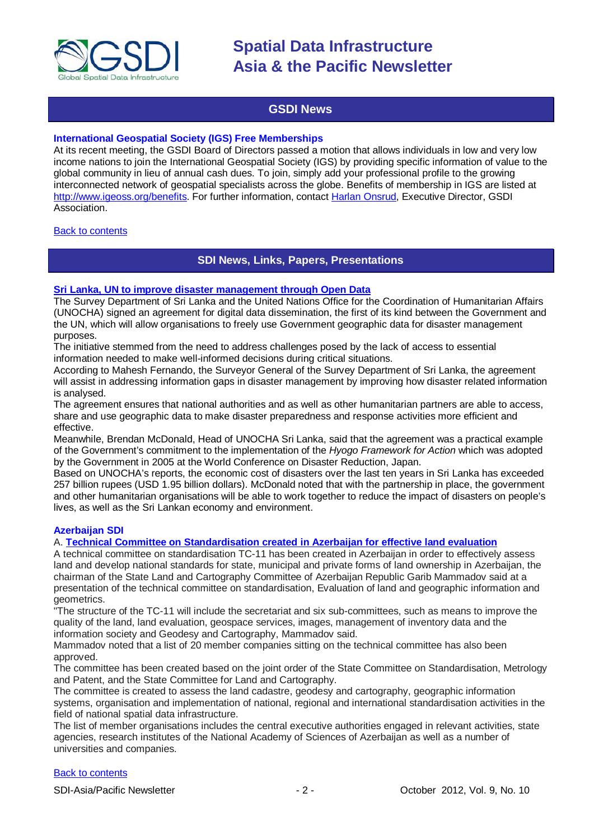

# **GSDI News**

# <span id="page-1-0"></span>**International Geospatial Society (IGS) Free Memberships**

At its recent meeting, the GSDI Board of Directors passed a motion that allows individuals in low and very low income nations to join the International Geospatial Society (IGS) by providing specific information of value to the global community in lieu of annual cash dues. To join, simply add your professional profile to the growing interconnected network of geospatial specialists across the globe. Benefits of membership in IGS are listed at [http://www.igeoss.org/benefits.](https://owa.unimelb.edu.au/owa/redir.aspx?C=54c2b4d3973d480282dc7c38384f4204&URL=http%3a%2f%2fwww.igeoss.org%2fbenefits) For further information, contact [Harlan Onsrud,](mailto:onsrud@gsdi.org) Executive Director, GSDI Association.

# <span id="page-1-1"></span>**[Back to contents](#page-0-0)**

# **SDI News, Links, Papers, Presentations**

## **[Sri Lanka, UN to improve disaster management through Open Data](http://www.futuregov.asia/articles/2012/sep/17/sri-lanka-un-improve-disaster-management-through-o/)**

The Survey Department of Sri Lanka and the United Nations Office for the Coordination of Humanitarian Affairs (UNOCHA) signed an agreement for digital data dissemination, the first of its kind between the Government and the UN, which will allow organisations to freely use Government geographic data for disaster management purposes.

The initiative stemmed from the need to address challenges posed by the lack of access to essential information needed to make well-informed decisions during critical situations.

According to Mahesh Fernando, the Surveyor General of the Survey Department of Sri Lanka, the agreement will assist in addressing information gaps in disaster management by improving how disaster related information is analysed.

The agreement ensures that national authorities and as well as other humanitarian partners are able to access, share and use geographic data to make disaster preparedness and response activities more efficient and effective.

Meanwhile, Brendan McDonald, Head of UNOCHA Sri Lanka, said that the agreement was a practical example of the Government's commitment to the implementation of the *Hyogo Framework for Action* which was adopted by the Government in 2005 at the World Conference on Disaster Reduction, Japan.

Based on UNOCHA's reports, the economic cost of disasters over the last ten years in Sri Lanka has exceeded 257 billion rupees (USD 1.95 billion dollars). McDonald noted that with the partnership in place, the government and other humanitarian organisations will be able to work together to reduce the impact of disasters on people's lives, as well as the Sri Lankan economy and environment.

# **Azerbaijan SDI**

A. **[Technical Committee on Standardisation created in Azerbaijan for effective land evaluation](http://en.trend.az/capital/business/2039557.html)**

A technical committee on standardisation TC-11 has been created in Azerbaijan in order to effectively assess land and develop national standards for state, municipal and private forms of land ownership in Azerbaijan, the chairman of the State Land and Cartography Committee of Azerbaijan Republic Garib Mammadov said at a presentation of the technical committee on standardisation, Evaluation of land and geographic information and geometrics.

"The structure of the TC-11 will include the secretariat and six sub-committees, such as means to improve the quality of the land, land evaluation, geospace services, images, management of inventory data and the information society and Geodesy and Cartography, Mammadov said.

Mammadov noted that a list of 20 member companies sitting on the technical committee has also been approved.

The committee has been created based on the joint order of the State Committee on Standardisation, Metrology and Patent, and the State Committee for Land and Cartography.

The committee is created to assess the land cadastre, geodesy and cartography, geographic information systems, organisation and implementation of national, regional and international standardisation activities in the field of national spatial data infrastructure.

The list of member organisations includes the central executive authorities engaged in relevant activities, state agencies, research institutes of the National Academy of Sciences of Azerbaijan as well as a number of universities and companies.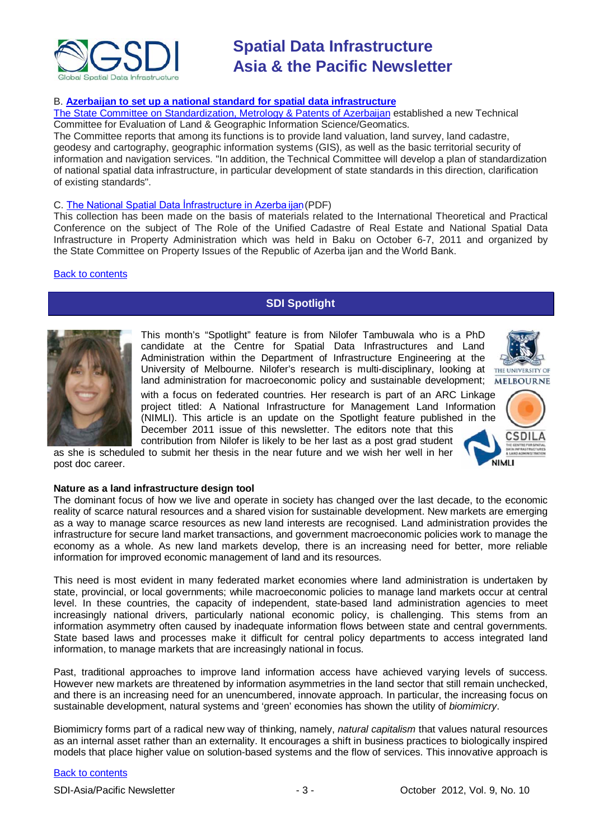

# B. **[Azerbaijan to set up a national standard for spatial data infrastructure](http://www.news.az/articles/economy/62019)**

[The State Committee on Standardization, Metrology & Patents of Azerbaijan](http://www.azstand.gov.az/index.php) established a new Technical Committee for Evaluation of Land & Geographic Information Science/Geomatics.

The Committee reports that among its functions is to provide land valuation, land survey, land cadastre, geodesy and cartography, geographic information systems (GIS), as well as the basic territorial security of information and navigation services. "In addition, the Technical Committee will develop a plan of standardization of national spatial data infrastructure, in particular development of state standards in this direction, clarification of existing standards".

# C. [The National Spatial Data İnfrastructure in Azerba](http://www.emdk.gov.az/files/uploader/Presentations_last.pdf) ijan(PDF)

This collection has been made on the basis of materials related to the International Theoretical and Practical Conference on the subject of The Role of the Unified Cadastre of Real Estate and National Spatial Data Infrastructure in Property Administration which was held in Baku on October 6-7, 2011 and organized by the State Committee on Property Issues of the Republic of Azerba ijan and the World Bank.

# <span id="page-2-0"></span>[Back to contents](#page-0-0)

# **SDI Spotlight**



This month's "Spotlight" feature is from Nilofer Tambuwala who is a PhD candidate at the Centre for Spatial Data Infrastructures and Land Administration within the Department of Infrastructure Engineering at the University of Melbourne. Nilofer's research is multi-disciplinary, looking at THEUNIVERSITY OF land administration for macroeconomic policy and sustainable development;



with a focus on federated countries. Her research is part of an ARC Linkage project titled: A National Infrastructure for Management Land Information (NIMLI). This article is an update on the Spotlight feature published in the December 2011 issue of this newsletter. The editors note that this contribution from Nilofer is likely to be her last as a post grad student

as she is scheduled to submit her thesis in the near future and we wish her well in her post doc career.



# **Nature as a land infrastructure design tool**

The dominant focus of how we live and operate in society has changed over the last decade, to the economic reality of scarce natural resources and a shared vision for sustainable development. New markets are emerging as a way to manage scarce resources as new land interests are recognised. Land administration provides the infrastructure for secure land market transactions, and government macroeconomic policies work to manage the economy as a whole. As new land markets develop, there is an increasing need for better, more reliable information for improved economic management of land and its resources.

This need is most evident in many federated market economies where land administration is undertaken by state, provincial, or local governments; while macroeconomic policies to manage land markets occur at central level. In these countries, the capacity of independent, state-based land administration agencies to meet increasingly national drivers, particularly national economic policy, is challenging. This stems from an information asymmetry often caused by inadequate information flows between state and central governments. State based laws and processes make it difficult for central policy departments to access integrated land information, to manage markets that are increasingly national in focus.

Past, traditional approaches to improve land information access have achieved varying levels of success. However new markets are threatened by information asymmetries in the land sector that still remain unchecked, and there is an increasing need for an unencumbered, innovate approach. In particular, the increasing focus on sustainable development, natural systems and 'green' economies has shown the utility of *biomimicry*.

Biomimicry forms part of a radical new way of thinking, namely, *natural capitalism* that values natural resources as an internal asset rather than an externality. It encourages a shift in business practices to biologically inspired models that place higher value on solution-based systems and the flow of services. This innovative approach is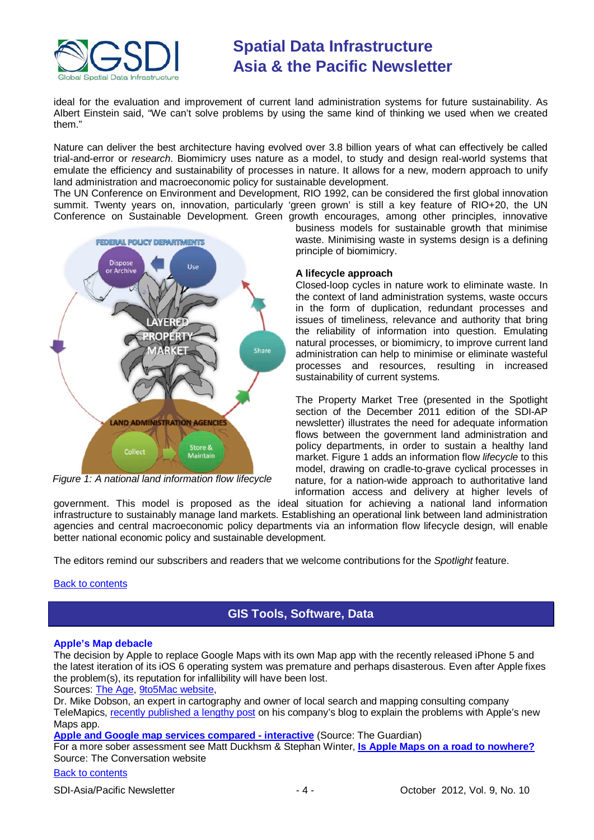

ideal for the evaluation and improvement of current land administration systems for future sustainability. As Albert Einstein said, "We can't solve problems by using the same kind of thinking we used when we created them."

Nature can deliver the best architecture having evolved over 3.8 billion years of what can effectively be called trial-and-error or *research*. Biomimicry uses nature as a model, to study and design real-world systems that emulate the efficiency and sustainability of processes in nature. It allows for a new, modern approach to unify land administration and macroeconomic policy for sustainable development.

The UN Conference on Environment and Development, RIO 1992, can be considered the first global innovation summit. Twenty years on, innovation, particularly 'green grown' is still a key feature of RIO+20, the UN Conference on Sustainable Development. Green growth encourages, among other principles, innovative



*Figure 1: A national land information flow lifecycle*

business models for sustainable growth that minimise waste. Minimising waste in systems design is a defining principle of biomimicry.

# **A lifecycle approach**

Closed-loop cycles in nature work to eliminate waste. In the context of land administration systems, waste occurs in the form of duplication, redundant processes and issues of timeliness, relevance and authority that bring the reliability of information into question. Emulating natural processes, or biomimicry, to improve current land administration can help to minimise or eliminate wasteful processes and resources, resulting in increased sustainability of current systems.

The Property Market Tree (presented in the Spotlight section of the December 2011 edition of the SDI-AP newsletter) illustrates the need for adequate information flows between the government land administration and policy departments, in order to sustain a healthy land market. Figure 1 adds an information flow *lifecycle* to this model, drawing on cradle-to-grave cyclical processes in nature, for a nation-wide approach to authoritative land information access and delivery at higher levels of

government. This model is proposed as the ideal situation for achieving a national land information infrastructure to sustainably manage land markets. Establishing an operational link between land administration agencies and central macroeconomic policy departments via an information flow lifecycle design, will enable better national economic policy and sustainable development.

<span id="page-3-0"></span>The editors remind our subscribers and readers that we welcome contributions for the *Spotlight* feature.

# **[Back to contents](#page-0-0)**

# **GIS Tools, Software, Data**

# **Apple's Map debacle**

The decision by Apple to replace Google Maps with its own Map app with the recently released iPhone 5 and the latest iteration of its iOS 6 operating system was premature and perhaps disasterous. Even after Apple fixes the problem(s), its reputation for infallibility will have been lost.

Sources: [The Age,](http://www.theage.com.au/technology/technology-news/has-apple-peaked-20120923-26eoc.html) [9to5Mac website,](http://9to5mac.com/2012/09/21/expert-cartography-ph-d-explains-the-issues-with-apples-maps/)

Dr. Mike Dobson, an expert in cartography and owner of local search and mapping consulting company TeleMapics, [recently published a lengthy post](http://blog.telemapics.com/?p=399) on his company's blog to explain the problems with Apple's new Maps app.

**[Apple and Google map services compared -](http://www.guardian.co.uk/technology/interactive/2012/sep/20/apple-google-maps-compared-interactive?INTCMP=SRCH) interactive** (Source: The Guardian)

For a more sober assessment see Matt Duckhsm & Stephan Winter, **[Is Apple Maps on a road to nowhere?](http://theconversation.edu.au/get-lost-is-apple-maps-on-a-road-to-nowhere-9760)** Source: The Conversation website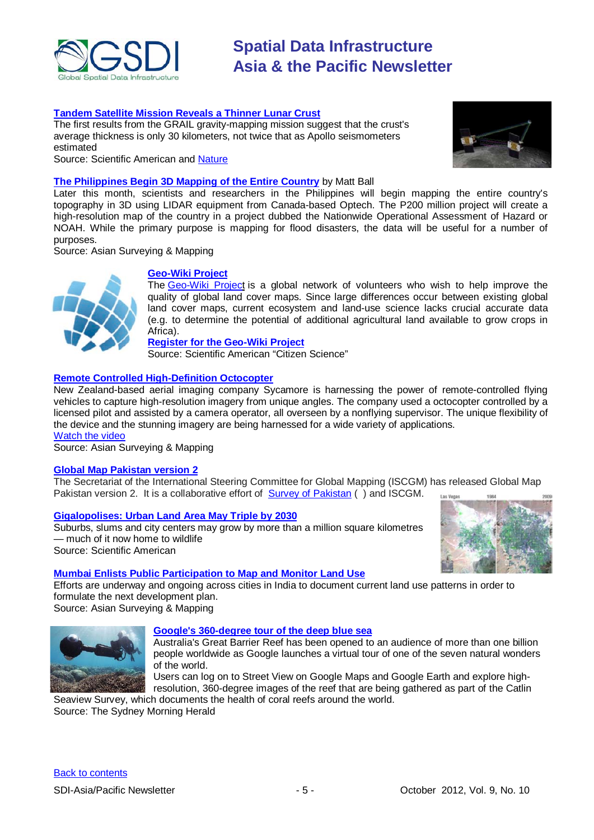

# **[Tandem Satellite Mission Reveals a Thinner Lunar Crust](http://www.scientificamerican.com/article.cfm?id=tandem-satellite-mission-reveals-a-thinner-lunar-crust&WT.mc_id=SA_DD_20120918)**

The first results from the GRAIL gravity-mapping mission suggest that the crust's average thickness is only 30 kilometers, not twice that as Apollo seismometers estimated



#### Source: Scientific American and [Nature](http://www.nature.com/news/tandem-satellites-probe-the-moon-s-interior-1.11419)

# **[The Philippines Begin 3D Mapping of the Entire Country](http://www.asmmag.com/201209064158/the-philippines-begin-3d-mapping-of-the-entire-country.html)** by Matt Ball

Later this month, scientists and researchers in the Philippines will begin mapping the entire country's topography in 3D using LIDAR equipment from Canada-based Optech. The P200 million project will create a high-resolution map of the country in a project dubbed the Nationwide Operational Assessment of Hazard or NOAH. While the primary purpose is mapping for flood disasters, the data will be useful for a number of purposes.

Source: Asian Surveying & Mapping

# **[Geo-Wiki Project](http://www.scientificamerican.com/citizen-science/project.cfm?id=geo-wiki-project&WT.mc_id=SA_DD_20120918)**

The [Geo-Wiki](http://geo-wiki.org/) Project is a global network of volunteers who wish to help improve the quality of global land cover maps. Since large differences occur between existing global land cover maps, current ecosystem and land-use science lacks crucial accurate data (e.g. to determine the potential of additional agricultural land available to grow crops in Africa).

**Register for the [Geo-Wiki](http://geo-wiki.org/login.php?menu=register) Project**

Source: Scientific American "Citizen Science"

# **[Remote Controlled High-Definition Octocopter](http://www.asmmag.com/201209184215/remote-controlled-high-definition-octocopter-makes-inroads-for-new-zealands-sycamore.html)**

New Zealand-based aerial imaging company Sycamore is harnessing the power of remote-controlled flying vehicles to capture high-resolution imagery from unique angles. The company used a octocopter controlled by a licensed pilot and assisted by a camera operator, all overseen by a nonflying supervisor. The unique flexibility of the device and the stunning imagery are being harnessed for a wide variety of applications. [Watch the video](http://vimeo.com/45898188)

Source: Asian Surveying & Mapping

# **[Global Map Pakistan version 2](http://www.iscgm.org/cgi-bin/fswiki/wiki.cgi)**

The Secretariat of the International Steering Committee for Global Mapping (ISCGM) has released Global Map Pakistan version 2. It is a collaborative effort of [Survey of Pakistan](http://www.surveyofpakistan.gov.pk/) ( ) and ISCGM.

# **[Gigalopolises: Urban Land Area May Triple by 2030](http://www.scientificamerican.com/article.cfm?id=cities-may-triple-in-size-by-2030&WT.mc_id=SA_DD_20120919)**

Suburbs, slums and city centers may grow by more than a million square kilometres — much of it now home to wildlife Source: Scientific American



# **[Mumbai Enlists Public Participation to Map and Monitor Land Use](http://www.asmmag.com/201209274262/mumbai-enlists-public-participation-to-map-and-monitor-land-use.html)**

Efforts are underway and ongoing across cities in India to document current land use patterns in order to formulate the next development plan.

Source: Asian Surveying & Mapping



# **[Google's 360-degree tour of the deep blue sea](http://www.smh.com.au/technology/sci-tech/googles-360degree-tour-of-the-deep-blue-sea-20120926-26l01.html#ixzz27YXSR12R)**

Australia's Great Barrier Reef has been opened to an audience of more than one billion people worldwide as Google launches a [virtual tour](http://maps.google.com/ocean) of one of the seven natural wonders of the world.

Users can log on to Street View on Google Maps and Google Earth and explore highresolution, 360-degree images of the reef that are being gathered as part of the Catlin

Seaview Survey, which documents the health of coral reefs around the world. Source: The Sydney Morning Herald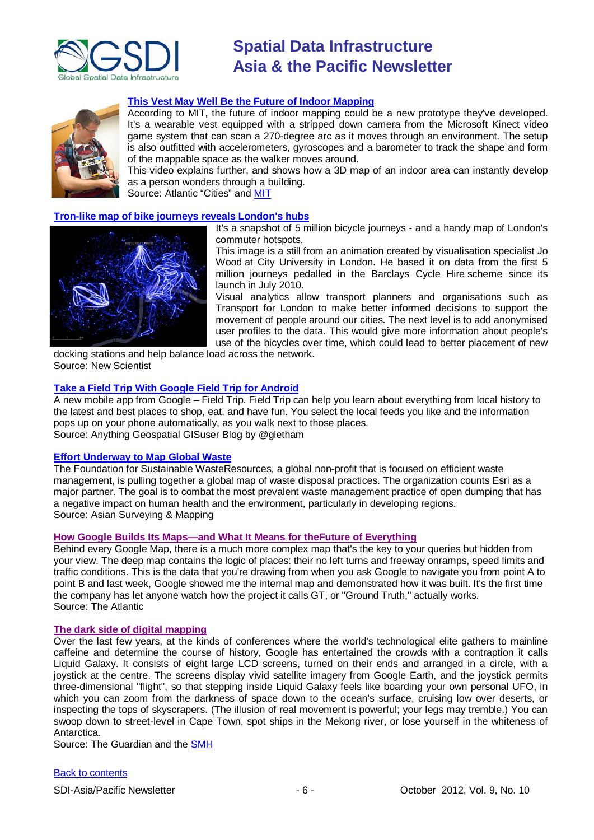



# **[This Vest May Well Be the Future of Indoor Mapping](http://www.theatlanticcities.com/technology/2012/09/vest-may-well-be-future-indoor-mapping/3399/)**

According to MIT, the future of indoor mapping could be a new prototype they've developed. It's a wearable vest equipped with a stripped down camera from the Microsoft Kinect video game system that can scan a 270-degree arc as it moves through an environment. The setup is also outfitted with accelerometers, gyroscopes and a barometer to track the shape and form of the mappable space as the walker moves around.

This video explains further, and shows how a 3D map of an indoor area can instantly develop as a person wonders through a building.

Source: Atlantic "Cities" and [MIT](http://web.mit.edu/newsoffice/2012/automatic-building-mapping-0924.html)

# **[Tron-like map of bike journeys reveals London's hubs](http://www.newscientist.com/blogs/shortsharpscience/2012/09/map-of-bicycle-journeys-reveal.html)**



It's a snapshot of 5 million bicycle journeys - and a handy map of London's commuter hotspots.

This image is a still from an animation created by visualisation specialist Jo Wood at City University in London. He based it on data from the first 5 million journeys pedalled in the Barclays Cycle Hire scheme since its launch in July 2010.

Visual analytics allow transport planners and organisations such as Transport for London to make better informed decisions to support the movement of people around our cities. The next level is to add anonymised user profiles to the data. This would give more information about people's use of the bicycles over time, which could lead to better placement of new

docking stations and help balance load across the network. Source: New Scientist

## **[Take a Field Trip With Google Field Trip for Android](http://blog.gisuser.com/2012/09/28/take-a-field-trip-with-google-field-trip-for-android/)**

A new mobile app from Google – Field Trip. Field Trip can help you learn about everything from local history to the latest and best places to shop, eat, and have fun. You select the local feeds you like and the information pops up on your phone automatically, as you walk next to those places. Source: Anything Geospatial GISuser Blog by @gletham

## **[Effort Underway to Map Global Waste](http://www.asmmag.com/201209274264/effort-underway-to-map-global-waste.html)**

The Foundation for Sustainable WasteResources, a global non-profit that is focused on efficient waste management, is pulling together a global map of waste disposal practices. The organization counts Esri as a major partner. The goal is to combat the most prevalent waste management practice of open dumping that has a negative impact on human health and the environment, particularly in developing regions. Source: Asian Surveying & Mapping

# **[How Google Builds Its Maps—and What It Means for theFuture of Everything](http://www.theatlantic.com/technology/archive/2012/09/howgooglebuildsitsmapsandwhatitmeansforthefutureofeverything/)**

Behind every Google Map, there is a much more complex map that's the key to your queries but hidden from your view. The deep map contains the logic of places: their no left turns and freeway onramps, speed limits and traffic conditions. This is the data that you're drawing from when you ask Google to navigate you from point A to point B and last week, Google showed me the internal map and demonstrated how it was built. It's the first time the company has let anyone watch how the project it calls GT, or "Ground Truth," actually works. Source: The Atlantic

## **[The dark side of digital mapping](http://www.guardian.co.uk/technology/2012/aug/28/google-apple-digital-mapping?INTCMP=SRCH)**

Over the last few years, at the kinds of conferences where the world's technological elite gathers to mainline caffeine and determine the course of history, Google has entertained the crowds with a contraption it calls Liquid Galaxy. It consists of eight large LCD screens, turned on their ends and arranged in a circle, with a joystick at the centre. The screens display vivid satellite imagery from Google Earth, and the joystick permits three-dimensional "flight", so that stepping inside Liquid Galaxy feels like boarding your own personal UFO, in which you can zoom from the darkness of space down to the ocean's surface, cruising low over deserts, or inspecting the tops of skyscrapers. (The illusion of real movement is powerful; your legs may tremble.) You can swoop down to street-level in Cape Town, spot ships in the Mekong river, or lose yourself in the whiteness of Antarctica.

Source: The Guardian and the [SMH](http://www.smh.com.au/technology/technology-news/the-dark-side-of-digital-mapping-20120830-25216.html)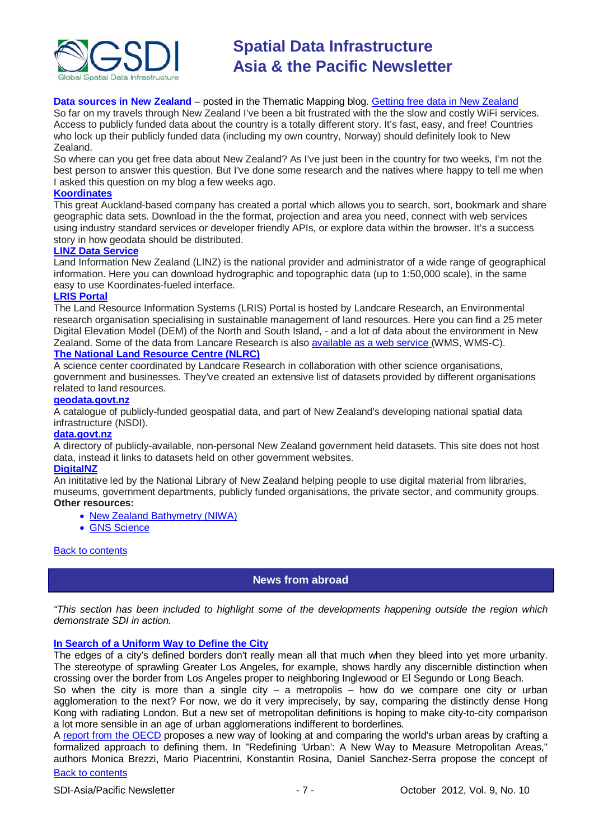

# **Data sources in New Zealand** – posted in the Thematic Mapping blog. [Getting free data in New Zealand](http://feedproxy.google.com/~r/thematicmapping/~3/nEXbQh2KFNs/getting-free-data-in-new-zealand.html?utm_source=feedburner&utm_medium=email)

So far on my travels through New Zealand I've been a bit frustrated with the the slow and costly WiFi services. Access to publicly funded data about the country is a totally different story. It's fast, easy, and free! Countries who lock up their publicly funded data (including my own country, Norway) should definitely look to New Zealand.

So where can you get free data about New Zealand? As I've just been in the country for two weeks, I'm not the best person to answer this question. But I've done some research and the natives where happy to tell me when I asked this question on my blog a few weeks ago.

# **[Koordinates](http://koordinates.com/layers/global/oceania/new-zealand/)**

This great Auckland-based company has created a portal which allows you to search, sort, bookmark and share geographic data sets. Download in the the format, projection and area you need, connect with web services using industry standard services or developer friendly APIs, or explore data within the browser. It's a success story in how geodata should be distributed.

# **[LINZ Data Service](http://data.linz.govt.nz/)**

Land Information New Zealand (LINZ) is the national provider and administrator of a wide range of geographical information. Here you can download hydrographic and topographic data (up to 1:50,000 scale), in the same easy to use Koordinates-fueled interface.

# **[LRIS Portal](http://lris.scinfo.org.nz/)**

The Land Resource Information Systems (LRIS) Portal is hosted by Landcare Research, an Environmental research organisation specialising in sustainable management of land resources. Here you can find a 25 meter Digital Elevation Model (DEM) of the North and South Island, - and a lot of data about the environment in New Zealand. Some of the data from Lancare Research is also [available as a web service](http://wiki.zen.landcareresearch.co.nz/informatics/2011/06/informatics-team-launch-geospatial-web-services/) (WMS, WMS-C). **[The National Land Resource Centre \(NLRC\)](http://www.nlrc.org.nz/resources/datasets/)**

A science center coordinated by Landcare Research in collaboration with other science organisations, government and businesses. They've created an extensive list of datasets provided by different organisations related to land resources.

# **[geodata.govt.nz](http://geodata.govt.nz/)**

A catalogue of publicly-funded geospatial data, and part of New Zealand's developing national spatial data infrastructure (NSDI).

## **[data.govt.nz](http://data.govt.nz/)**

A directory of publicly-available, non-personal New Zealand government held datasets. This site does not host data, instead it links to datasets held on other government websites.

## **[DigitalNZ](http://digitalnz.org/)**

An inititative led by the National Library of New Zealand helping people to use digital material from libraries, museums, government departments, publicly funded organisations, the private sector, and community groups. **Other resources:**

- [New Zealand Bathymetry \(NIWA\)](http://www.niwa.co.nz/our-science/oceans/bathymetry)
- [GNS Science](http://maps.gns.cri.nz/)

## <span id="page-6-0"></span>**[Back to contents](#page-0-0)**

# **News from abroad**

*"This section has been included to highlight some of the developments happening outside the region which demonstrate SDI in action.*

## **[In Search of a Uniform Way to Define the City](http://www.theatlanticcities.com/jobs-and-economy/2012/09/search-uniform-way-define-city/3165/)**

The edges of a city's defined borders don't really mean all that much when they bleed into yet more urbanity. The stereotype of sprawling Greater Los Angeles, for example, shows hardly any discernible distinction when crossing over the border from Los Angeles proper to neighboring Inglewood or El Segundo or Long Beach.

So when the city is more than a single city  $-$  a metropolis  $-$  how do we compare one city or urban agglomeration to the next? For now, we do it very imprecisely, by say, comparing the distinctly dense Hong Kong with radiating London. But a new set of metropolitan definitions is hoping to make city-to-city comparison a lot more sensible in an age of urban agglomerations indifferent to borderlines.

[Back to contents](#page-0-0) A [report from the OECD](http://www.keepeek.com/Digital-Asset-Management/oecd/urban-rural-and-regional-development/redefining-urban_9789264174108-en) proposes a new way of looking at and comparing the world's urban areas by crafting a formalized approach to defining them. In "Redefining 'Urban': A New Way to Measure Metropolitan Areas," authors Monica Brezzi, Mario Piacentrini, Konstantin Rosina, Daniel Sanchez-Serra propose the concept of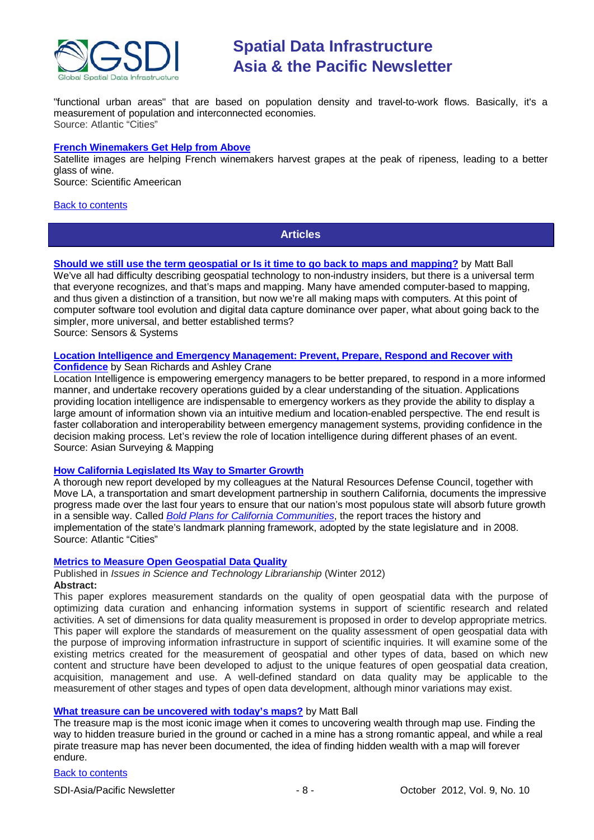

"functional urban areas" that are based on population density and travel-to-work flows. Basically, it's a measurement of population and interconnected economies. Source: Atlantic "Cities"

# **[French Winemakers Get Help from Above](http://www.scientificamerican.com/video.cfm?id=french-winemakers-get-help-2012-09-10&WT.mc_id=SA_DD_20120912)**

Satellite images are helping French winemakers harvest grapes at the peak of ripeness, leading to a better glass of wine.

Source: Scientific Ameerican

## <span id="page-7-0"></span>[Back to contents](#page-0-0)

**Articles**

**[Should we still use the term geospatial or Is it time to go back to maps and mapping?](http://www.sensysmag.com/dialog/perspectives/28250-should-we-still-use-geospatial-or-is-it-time-to-go-back-to-maps-and-mapping.html)** by Matt Ball We've all had difficulty describing geospatial technology to non-industry insiders, but there is a universal term that everyone recognizes, and that's maps and mapping. Many have amended computer-based to mapping, and thus given a distinction of a transition, but now we're all making maps with computers. At this point of computer software tool evolution and digital data capture dominance over paper, what about going back to the simpler, more universal, and better established terms? Source: Sensors & Systems

# **[Location Intelligence and Emergency Management: Prevent, Prepare, Respond and Recover with](http://www.asmmag.com/201209134191/location-intelligence-and-emergency-management-prevent-prepare-respond-and-recover-with-confidence.html)**

**[Confidence](http://www.asmmag.com/201209134191/location-intelligence-and-emergency-management-prevent-prepare-respond-and-recover-with-confidence.html)** by Sean Richards and Ashley Crane

Location Intelligence is empowering emergency managers to be better prepared, to respond in a more informed manner, and undertake recovery operations guided by a clear understanding of the situation. Applications providing location intelligence are indispensable to emergency workers as they provide the ability to display a large amount of information shown via an intuitive medium and location-enabled perspective. The end result is faster collaboration and interoperability between emergency management systems, providing confidence in the decision making process. Let's review the role of location intelligence during different phases of an event. Source: Asian Surveying & Mapping

## **[How California Legislated Its Way to Smarter Growth](http://www.theatlanticcities.com/design/2012/09/how-california-legislated-its-way-smarter-growth/3391/)**

A thorough new report developed by my colleagues at the Natural Resources Defense Council, together with Move LA, a transportation and smart development partnership in southern California, documents the impressive progress made over the last four years to ensure that our nation's most populous state will absorb future growth in a sensible way. Called *[Bold Plans for California Communities](http://www.nrdc.org/globalwarming/sb375/implementation-report/)*, the report traces the history and implementation of the state's landmark planning framework, adopted by the state legislature and in 2008. Source: Atlantic "Cities"

## **[Metrics to Measure Open Geospatial Data Quality](http://www.istl.org/12-winter/article1.html)**

Published in *Issues in Science and Technology Librarianship* (Winter 2012) **Abstract:**

This paper explores measurement standards on the quality of open geospatial data with the purpose of optimizing data curation and enhancing information systems in support of scientific research and related activities. A set of dimensions for data quality measurement is proposed in order to develop appropriate metrics. This paper will explore the standards of measurement on the quality assessment of open geospatial data with the purpose of improving information infrastructure in support of scientific inquiries. It will examine some of the existing metrics created for the measurement of geospatial and other types of data, based on which new content and structure have been developed to adjust to the unique features of open geospatial data creation, acquisition, management and use. A well-defined standard on data quality may be applicable to the measurement of other stages and types of open data development, although minor variations may exist.

## **[What treasure can be uncovered with today's maps?](http://www.sensysmag.com/dialog/perspectives/28190-what-treasure-can-be-uncovered-with-today%E2%80%99s-maps.html)** by Matt Ball

The treasure map is the most iconic image when it comes to uncovering wealth through map use. Finding the way to hidden treasure buried in the ground or cached in a mine has a strong romantic appeal, and while a real pirate treasure map has never been documented, the idea of finding hidden wealth with a map will forever endure.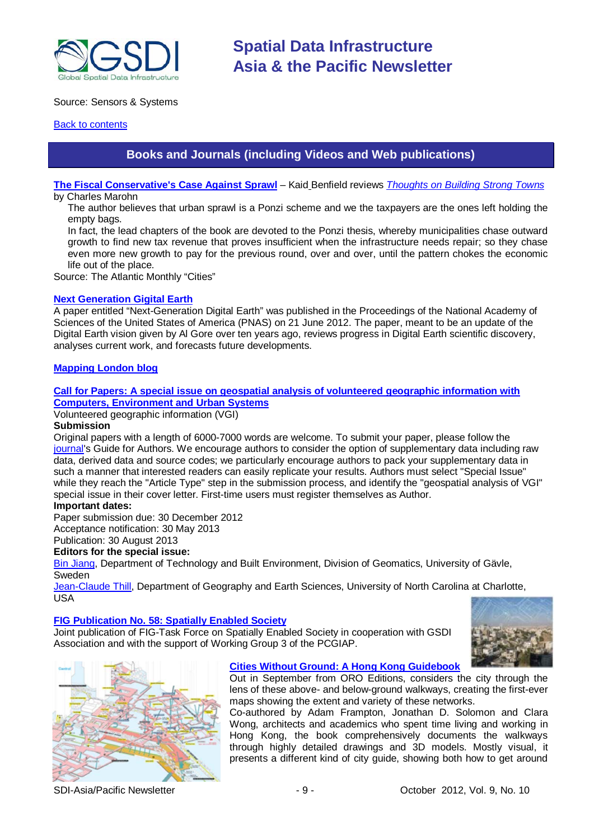

# Source: Sensors & Systems

# <span id="page-8-0"></span>**[Back to contents](#page-0-0)**

# **Books and Journals (including Videos and Web publications)**

**[The Fiscal Conservative's Case Against Sprawl](http://www.theatlanticcities.com/politics/2012/09/fiscal-conservatives-case-against-sprawl/3311/)** – Kaid Benfield reviews *[Thoughts on Building Strong Towns](http://www.marohn.org/)* by Charles Marohn

The author believes that urban sprawl is a Ponzi scheme and we the taxpayers are the ones left holding the empty bags.

In fact, the lead chapters of the book are devoted to the Ponzi thesis, whereby municipalities chase outward growth to find new tax revenue that proves insufficient when the infrastructure needs repair; so they chase even more new growth to pay for the previous round, over and over, until the pattern chokes the economic life out of the place.

Source: The Atlantic Monthly "Cities"

## **[Next Generation Gigital Earth](http://www.pnas.org/content/early/2012/06/20/1202383109.full.pdf+html)**

A paper entitled "Next-Generation Digital Earth" was published in the Proceedings of the National Academy of Sciences of the United States of America (PNAS) on 21 June 2012. The paper, meant to be an update of the Digital Earth vision given by Al Gore over ten years ago, reviews progress in Digital Earth scientific discovery, analyses current work, and forecasts future developments.

# **[Mapping London blog](http://mappinglondon.co.uk/)**

**[Call for Papers: A special issue on geospatial analysis of volunteered geographic information with](http://www.journals.elsevier.com/computers-environment-and-urban-systems/call-for-papers/call-for-papers-a-special-issue-on-geospatial/)  [Computers, Environment and Urban Systems](http://www.journals.elsevier.com/computers-environment-and-urban-systems/call-for-papers/call-for-papers-a-special-issue-on-geospatial/)**

Volunteered geographic information (VGI)

## **Submission**

Original papers with a length of 6000-7000 words are welcome. To submit your paper, please follow the [journal's](http://ees.elsevier.com/ceus/) Guide for Authors. We encourage authors to consider the option of supplementary data including raw data, derived data and source codes; we particularly encourage authors to pack your supplementary data in such a manner that interested readers can easily replicate your results. Authors must select "Special Issue" while they reach the "Article Type" step in the submission process, and identify the "geospatial analysis of VGI" special issue in their cover letter. First-time users must register themselves as Author.

# **Important dates:**

Paper submission due: 30 December 2012 Acceptance notification: 30 May 2013

Publication: 30 August 2013

# **Editors for the special issue:**

[Bin Jiang,](mailto:bin.jiang@hig.se) Department of Technology and Built Environment, Division of Geomatics, University of Gävle, Sweden

[Jean-Claude Thill,](mailto:Jean-Claude.Thill@uncc.edu) Department of Geography and Earth Sciences, University of North Carolina at Charlotte, USA

## **[FIG Publication No. 58: Spatially Enabled Society](http://www.fig.net/pub/figpub/pub58/figpub58.pdf)**

Joint publication of FIG-Task Force on Spatially Enabled Society in cooperation with GSDI Association and with the support of Working Group 3 of the PCGIAP.





## **[Cities Without Ground: A Hong Kong Guidebook](http://citieswithoutground.com/)**

Out in September from ORO Editions, considers the city through the lens of these above- and below-ground walkways, creating the first-ever maps showing the extent and variety of these networks.

Co-authored by Adam Frampton, Jonathan D. Solomon and Clara Wong, architects and academics who spent time living and working in Hong Kong, the book comprehensively documents the walkways through highly detailed drawings and 3D models. Mostly visual, it presents a different kind of city guide, showing both how to get around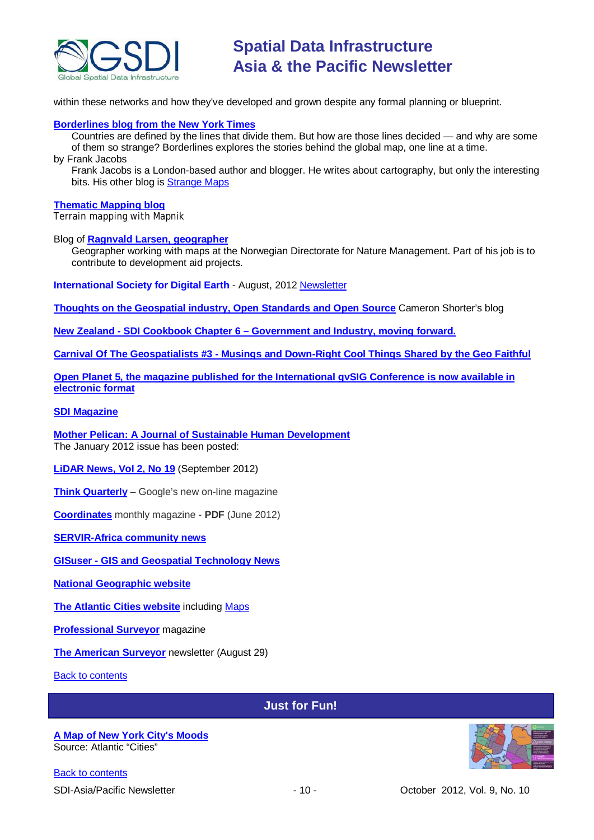

within these networks and how they've developed and grown despite any formal planning or blueprint.

# **[Borderlines blog from the New York Times](http://opinionator.blogs.nytimes.com/category/borderlines/)**

Countries are defined by the lines that divide them. But how are those lines decided — and why are some of them so strange? Borderlines explores the stories behind the global map, one line at a time. by Frank Jacobs

Frank Jacobs is a London-based author and blogger. He writes about cartography, but only the interesting bits. His other blog is [Strange Maps](http://bigthink.com/blogs/strange-maps)

#### **[Thematic Mapping blog](http://blog.thematicmapping.org/)**

Terrain mapping with Mapnik

Blog of **[Ragnvald Larsen, geographer](http://www.mindland.com/wp/)**

Geographer working with maps at the Norwegian Directorate for Nature Management. Part of his job is to contribute to development aid projects.

**International Society for Digital Earth** - August, 2012 [Newsletter](http://www.digitalearth-isde.org/news/isde-newsletter(201208).html)

**[Thoughts on the Geospatial industry, Open Standards and Open Source](http://cameronshorter.blogspot.com/2011/06/memoirs-of-cat-herder-coordinating.html)** Cameron Shorter's blog

**New Zealand - SDI Cookbook Chapter 6 – [Government and Industry, moving forward.](http://www.geospatial.govt.nz/sdi-cookbook-chapter-6-government-and-industry-moving-forward)**

**Carnival Of The Geospatialists #3 - [Musings and Down-Right Cool Things Shared by the Geo Faithful](http://www.gisuser.com/content/view/25690/28/)**

**Open Planet 5, the magazine published for the International gvSIG Conference is now available in [electronic format](http://jornadas.gvsig.org/descargas/magazine)**

## **[SDI Magazine](http://www.sdimag.com/)**

**[Mother Pelican: A Journal of Sustainable Human Development](http://www.pelicanweb.org/solisustv08n01page1.html)** The January 2012 issue has been posted:

**[LiDAR News, Vol 2, No 19](http://www.lidarnews.com/newsletter/Vol2No19.htm)** (September 2012)

**[Think Quarterly](http://thinkquarterly.co.uk/#aboutthebook)** – Google's new on-line magazine

**[Coordinates](http://mycoordinates.org/pdf/jun12.pdf)** monthly magazine - **PDF** (June 2012)

**[SERVIR-Africa community news](http://www.servirglobal.net/africa/en/News/CommunityNews.aspx)**

**GISuser - [GIS and Geospatial Technology News](http://www.gisuser.com/)**

**[National Geographic website](http://www.nationalgeographic.com/)**

**[The Atlantic Cities website](http://www.theatlanticcities.com/)** including [Maps](http://www.theatlanticcities.com/posts/map/)

**[Professional Surveyor](http://www.profsurv.com/)** magazine

**[The American Surveyor](http://www.amerisurv.com/newsletter/29AUG2012.htm)** newsletter (August 29)

<span id="page-9-0"></span>[Back to contents](#page-0-0)

# **Just for Fun!**

#### **[A Map of New York City's Moods](http://www.theatlanticcities.com/neighborhoods/2012/09/map-new-york-citys-moods/3196/)** Source: Atlantic "Cities"

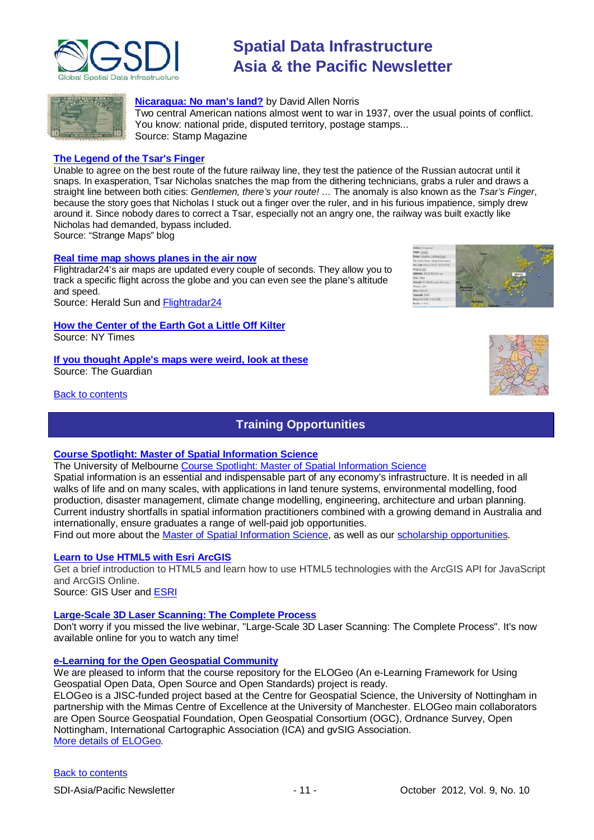



# **[Nicaragua: No man's land?](http://www.stampmagazine.co.uk/news/article/nicaragua-no-man)** by David Allen Norris

Two central American nations almost went to war in 1937, over the usual points of conflict. You know: national pride, disputed territory, postage stamps... Source: Stamp Magazine

# **[The Legend of the Tsar's Finger](http://bigthink.com/strange-maps/580-the-legend-of-the-tsars-finger)**

Unable to agree on the best route of the future railway line, they test the patience of the Russian autocrat until it snaps. In exasperation, Tsar Nicholas snatches the map from the dithering technicians, grabs a ruler and draws a straight line between both cities: *Gentlemen, there's your route! …* The anomaly is also known as the *Tsar's Finger*, because the story goes that Nicholas I stuck out a finger over the ruler, and in his furious impatience, simply drew around it. Since nobody dares to correct a Tsar, especially not an angry one, the railway was built exactly like Nicholas had demanded, bypass included.

Source: "Strange Maps" blog

# **[Real time map shows planes in the air now](http://www.heraldsun.com.au/travel/news/real-time-map-shows-every-plane-in-the-air-now/story-fn32891l-1226476960352)**

Flightradar24's air maps are updated every couple of seconds. They allow you to track a specific flight across the globe and you can even see the plane's altitude and speed.

Source: Herald Sun and [Flightradar24](http://www.flightradar24.com/t_blank)

**[How the Center of the Earth Got a Little Off Kilter](http://www.nytimes.com/2012/09/25/world/americas/in-ecuador-center-of-the-earth-is-a-little-off-kilter.html)** Source: NY Times

#### **[If you thought Apple's maps were weird, look at these](http://www.guardian.co.uk/commentisfree/interactive/2012/sep/07/weird-maps-to-rival-apple-in-pictures?INTCMP=SRCH)** Source: The Guardian

# <span id="page-10-0"></span>[Back to contents](#page-0-0)

# **Training Opportunities**

# **[Course Spotlight: Master of Spatial Information Science](http://themelbourneengineer.eng.unimelb.edu.au/2012/02/course-spotlight-master-of-spatial-information-science/)**

The University of Melbourne [Course Spotlight: Master of Spatial Information Science](http://themelbourneengineer.eng.unimelb.edu.au/2012/02/course-spotlight-master-of-spatial-information-science/)

Spatial information is an essential and indispensable part of any economy's infrastructure. It is needed in all walks of life and on many scales, with applications in land tenure systems, environmental modelling, food production, disaster management, climate change modelling, engineering, architecture and urban planning. Current industry shortfalls in spatial information practitioners combined with a growing demand in Australia and internationally, ensure graduates a range of well-paid job opportunities.

Find out more about the [Master of Spatial Information Science,](http://www.msi.unimelb.edu.au/study/graduate/master-of-spatial-information-science/) as well as our [scholarship opportunities.](http://www.eng.unimelb.edu.au/study/graduate/scholarships.html)

# **[Learn to Use HTML5 with Esri ArcGIS](http://www.gisuser.com/content/view/25915/2/)**

Get a brief introduction to HTML5 and learn how to use HTML5 technologies with the ArcGIS API for JavaScript and ArcGIS Online.

Source: GIS User and [ESRI](http://training.esri.com/Gateway/index.cfm?fa=seminars.gateway)

# **[Large-Scale 3D Laser Scanning: The Complete Process](http://www.faro.com/site/resources/details/1373?CampaignId=70170000000bbwr)**

Don't worry if you missed the live webinar, "Large-Scale 3D Laser Scanning: The Complete Process". It's now available online for you to watch any time!

# **[e-Learning for the Open Geospatial Community](http://elogeo.nottingham.ac.uk/xmlui)**

We are pleased to inform that the course repository for the ELOGeo (An e-Learning Framework for Using Geospatial Open Data, Open Source and Open Standards) project is ready. ELOGeo is a JISC-funded project based at the Centre for Geospatial Science, the University of Nottingham in partnership with the Mimas Centre of Excellence at the University of Manchester. ELOGeo main collaborators are Open Source Geospatial Foundation, Open Geospatial Consortium (OGC), Ordnance Survey, Open Nottingham, International Cartographic Association (ICA) and gvSIG Association. [More details of ELOGeo.](http://elogeo.nottingham.ac.uk/index.html)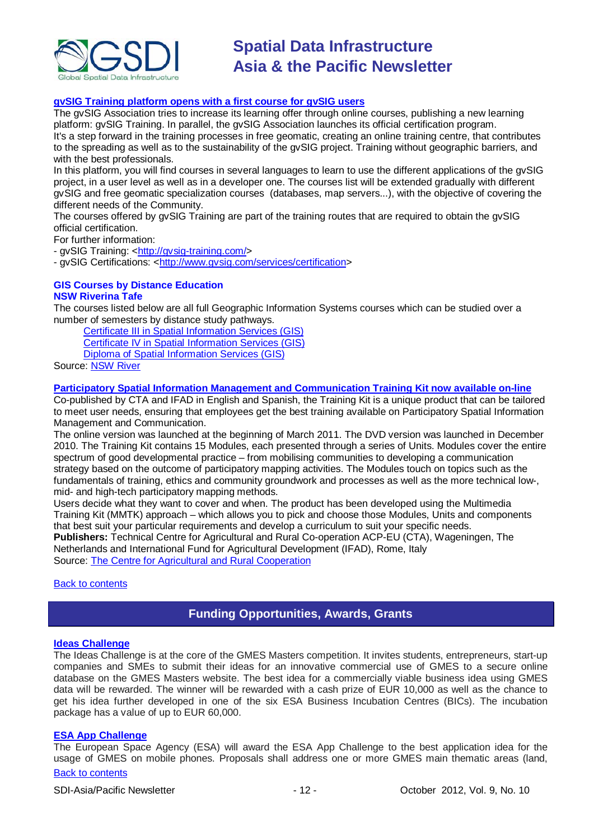

# **gvSIG Training platform opens with a first course for gvSIG users**

The gvSIG Association tries to increase its learning offer through online courses, publishing a new learning platform: gvSIG Training. In parallel, the gvSIG Association launches its official certification program. It's a step forward in the training processes in free geomatic, creating an online training centre, that contributes to the spreading as well as to the sustainability of the gvSIG project. Training without geographic barriers, and with the best professionals.

In this platform, you will find courses in several languages to learn to use the different applications of the gySIG project, in a user level as well as in a developer one. The courses list will be extended gradually with different gvSIG and free geomatic specialization courses (databases, map servers...), with the objective of covering the different needs of the Community.

The courses offered by gvSIG Training are part of the training routes that are required to obtain the gvSIG official certification.

For further information:

- gvSIG Training: [<http://gvsig-training.com/>](http://gvsig-training.com/)

- gvSIG Certifications: [<http://www.gvsig.com/services/certification>](http://www.gvsig.com/services/certification)

## **GIS Courses by Distance Education NSW Riverina Tafe**

The courses listed below are all full Geographic Information Systems courses which can be studied over a number of semesters by distance study pathways.

[Certificate III in Spatial Information Services \(GIS\)](http://www.rit.tafensw.edu.au/nec/nrme/giscourses#Cert III in Spatial Information Services (CPP30109))

[Certificate IV in Spatial Information Services \(GIS\)](http://www.rit.tafensw.edu.au/nec/nrme/giscourses#Cert IV in Spatial Information Services (CPP40209))

[Diploma of Spatial Information Services \(GIS\)](http://www.rit.tafensw.edu.au/nec/nrme/giscourses#Diploma of Spatial Information Services (CPP50207))

Sourc[e: NSW River](http://www.rit.tafensw.edu.au/nec/nrme/giscourses)

# **[Participatory Spatial Information Management and Communication Training Kit now available on-line](http://www.cta.int/en/About-us/CTA-news/Participatory-Spatial-Information-Management-and-Communication-Training-Kit-now-available-on-line)**

Co-published by CTA and IFAD in English and Spanish, the Training Kit is a unique product that can be tailored to meet user needs, ensuring that employees get the best training available on Participatory Spatial Information Management and Communication.

The [online version](http://pgis-tk.cta.int/) was launched at the beginning of March 2011. The DVD version was launched in December 2010. The Training Kit contains 15 Modules, each presented through a series of Units. Modules cover the entire spectrum of good developmental practice – from mobilising communities to developing a communication strategy based on the outcome of participatory mapping activities. The Modules touch on topics such as the fundamentals of training, ethics and community groundwork and processes as well as the more technical low-, mid- and high-tech participatory mapping methods.

Users decide what they want to cover and when. The product has been developed using the Multimedia Training Kit (MMTK) approach – which allows you to pick and choose those Modules, Units and components that best suit your particular requirements and develop a curriculum to suit your specific needs. **Publishers:** Technical Centre for Agricultural and Rural Co-operation ACP-EU (CTA), Wageningen, The Netherlands and International Fund for Agricultural Development (IFAD), Rome, Italy Source: [The Centre for Agricultural and Rural Cooperation](http://www.cta.int/en/About-us/Who-we-are)

# <span id="page-11-0"></span>**[Back to contents](#page-0-0)**

# **Funding Opportunities, Awards, Grants**

## **[Ideas Challenge](http://www.gmes-masters.com/ideas-challenge)**

The Ideas Challenge is at the core of the GMES Masters competition. It invites students, entrepreneurs, start-up companies and SMEs to submit their ideas for an innovative commercial use of GMES to a secure online database on the GMES Masters website. The best idea for a commercially viable business idea using GMES data will be rewarded. The winner will be rewarded with a cash prize of EUR 10,000 as well as the chance to get his idea further developed in one of the six ESA Business Incubation Centres (BICs). The incubation package has a value of up to EUR 60,000.

# **[ESA App Challenge](http://www.gmes-masters.com/esa-app-challenge)**

[Back to contents](#page-0-0) The European Space Agency (ESA) will award the ESA App Challenge to the best application idea for the usage of GMES on mobile phones. Proposals shall address one or more GMES main thematic areas (land,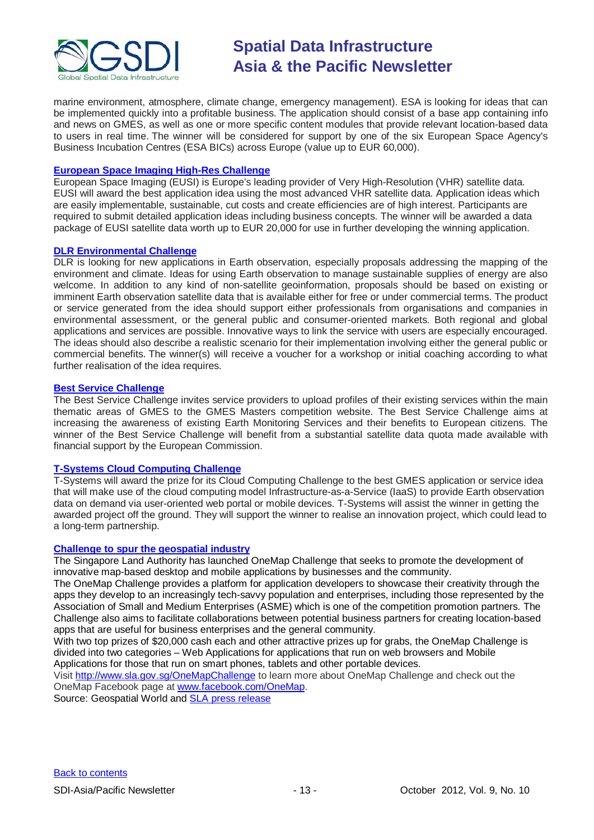

marine environment, atmosphere, climate change, emergency management). ESA is looking for ideas that can be implemented quickly into a profitable business. The application should consist of a base app containing info and news on GMES, as well as one or more specific content modules that provide relevant location-based data to users in real time. The winner will be considered for support by one of the six European Space Agency's Business Incubation Centres (ESA BICs) across Europe (value up to EUR 60,000).

# **[European Space Imaging High-Res Challenge](http://www.gmes-masters.com/european-space-0)**

European Space Imaging (EUSI) is Europe's leading provider of Very High-Resolution (VHR) satellite data. EUSI will award the best application idea using the most advanced VHR satellite data. Application ideas which are easily implementable, sustainable, cut costs and create efficiencies are of high interest. Participants are required to submit detailed application ideas including business concepts. The winner will be awarded a data package of EUSI satellite data worth up to EUR 20,000 for use in further developing the winning application.

# **[DLR Environmental Challenge](http://www.gmes-masters.com/dlr-environmental)**

DLR is looking for new applications in Earth observation, especially proposals addressing the mapping of the environment and climate. Ideas for using Earth observation to manage sustainable supplies of energy are also welcome. In addition to any kind of non-satellite geoinformation, proposals should be based on existing or imminent Earth observation satellite data that is available either for free or under commercial terms. The product or service generated from the idea should support either professionals from organisations and companies in environmental assessment, or the general public and consumer-oriented markets. Both regional and global applications and services are possible. Innovative ways to link the service with users are especially encouraged. The ideas should also describe a realistic scenario for their implementation involving either the general public or commercial benefits. The winner(s) will receive a voucher for a workshop or initial coaching according to what further realisation of the idea requires.

# **[Best Service Challenge](http://www.gmes-masters.com/best-service)**

The Best Service Challenge invites service providers to upload profiles of their existing services within the main thematic areas of GMES to the GMES Masters competition website. The Best Service Challenge aims at increasing the awareness of existing Earth Monitoring Services and their benefits to European citizens. The winner of the Best Service Challenge will benefit from a substantial satellite data quota made available with financial support by the European Commission.

# **[T-Systems Cloud Computing Challenge](http://www.gmes-masters.com/t-systems-cloud)**

T-Systems will award the prize for its Cloud Computing Challenge to the best GMES application or service idea that will make use of the cloud computing model Infrastructure-as-a-Service (IaaS) to provide Earth observation data on demand via user-oriented web portal or mobile devices. T-Systems will assist the winner in getting the awarded project off the ground. They will support the winner to realise an innovation project, which could lead to a long-term partnership.

## **[Challenge to spur the geospatial industry](http://geospatialworld.net/index.php?option=com_content&view=article&id=23850:challenge-to-spur-the-geospatial-industry&catid=75:miscellaneous-events)**

The Singapore Land Authority has launched OneMap Challenge that seeks to promote the development of innovative map-based desktop and mobile applications by businesses and the community.

The OneMap Challenge provides a platform for application developers to showcase their creativity through the apps they develop to an increasingly tech-savvy population and enterprises, including those represented by the Association of Small and Medium Enterprises (ASME) which is one of the competition promotion partners. The Challenge also aims to facilitate collaborations between potential business partners for creating location-based apps that are useful for business enterprises and the general community.

With two top prizes of \$20,000 cash each and other attractive prizes up for grabs, the OneMap Challenge is divided into two categories – Web Applications for applications that run on web browsers and Mobile Applications for those that run on smart phones, tablets and other portable devices.

Visit <http://www.sla.gov.sg/OneMapChallenge> to learn more about OneMap Challenge and check out the OneMap Facebook page at [www.facebook.com/OneMap.](http://www.facebook.com/OneMap)

Source: Geospatial World and [SLA press release](http://www.sla.gov.sg/htm/new/new2012/new0401.htm)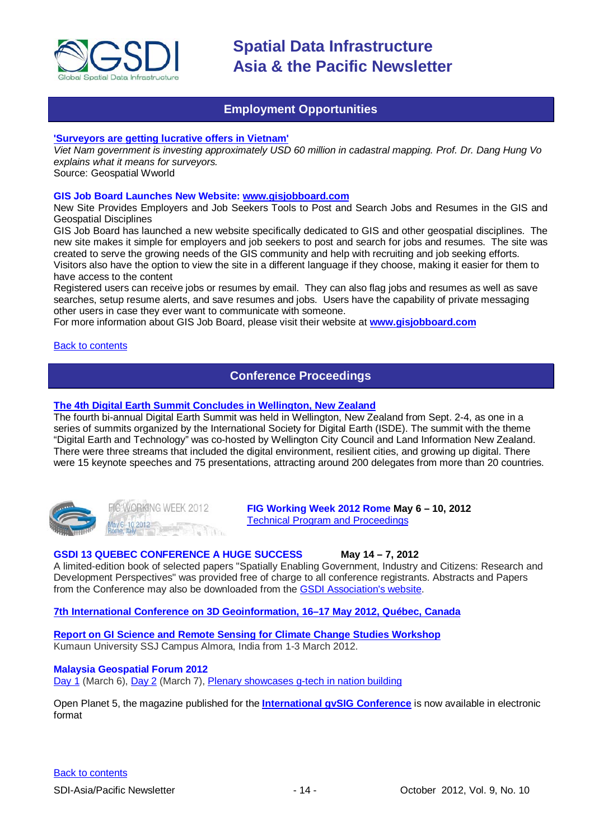

# **Employment Opportunities**

# <span id="page-13-0"></span>**['Surveyors are getting lucrative offers in Vietnam'](http://www.geospatialworld.net/index.php?option=com_interview&int=1&view=managetemplate&id=255&Itemid=644)**

*Viet Nam government is investing approximately USD 60 million in cadastral mapping. Prof. Dr. Dang Hung Vo explains what it means for surveyors.*

Source: Geospatial Wworld

## **GIS Job Board Launches New Website: [www.gisjobboard.com](http://www.gisjobboard.com/)**

New Site Provides Employers and Job Seekers Tools to Post and Search Jobs and Resumes in the GIS and Geospatial Disciplines

GIS Job Board has launched a new website specifically dedicated to GIS and other geospatial disciplines. The new site makes it simple for employers and job seekers to post and search for jobs and resumes. The site was created to serve the growing needs of the GIS community and help with recruiting and job seeking efforts. Visitors also have the option to view the site in a different language if they choose, making it easier for them to have access to the content

Registered users can receive jobs or resumes by email. They can also flag jobs and resumes as well as save searches, setup resume alerts, and save resumes and jobs. Users have the capability of private messaging other users in case they ever want to communicate with someone.

<span id="page-13-1"></span>For more information about GIS Job Board, please visit their website at **[www.gisjobboard.com](http://www.gisjobboard.com/)**

[Back to contents](#page-0-0)

# **Conference Proceedings**

# **[The 4th Digital Earth Summit Concludes in Wellington, New Zealand](http://digitalearth-isde.org/news/367)**

The fourth bi-annual Digital Earth Summit was held in Wellington, New Zealand from Sept. 2-4, as one in a series of summits organized by the International Society for Digital Earth (ISDE). The summit with the theme "Digital Earth and Technology" was co-hosted by Wellington City Council and Land Information New Zealand. There were three streams that included the digital environment, resilient cities, and growing up digital. There were 15 keynote speeches and 75 presentations, attracting around 200 delegates from more than 20 countries.



**IGWORKING WEEK 2012**  $-102012$ 

**FIG Working Week 2012 Rome May 6 – 10, 2012** [Technical Program and Proceedings](http://www.fig.net/pub/fig2012/techprog.htm)

# **GSDI 13 QUEBEC CONFERENCE A HUGE SUCCESS May 14 – 7, 2012**

A limited-edition book of selected papers "Spatially Enabling Government, Industry and Citizens: Research and Development Perspectives" was provided free of charge to all conference registrants. Abstracts and Papers from the Conference may also be downloaded from th[e GSDI Association's website.](http://www.gsdi.org/gsdiconf/gsdi13/prog_details.html)

## **[7th International Conference on 3D Geoinformation, 16–17 May 2012, Québec, Canada](http://www.int-arch-photogramm-remote-sens-spatial-inf-sci.net/XXXVIII-4-C26/)**

**[Report on GI Science and Remote Sensing for Climate Change Studies Workshop](http://www.asmmag.com/201205043668/report-on-gi-science-and-remote-sensing-for-climate-change-studies-workshop.html)** Kumaun University SSJ Campus Almora, India from 1-3 March 2012.

## **Malaysia Geospatial Forum 2012**

[Day 1](http://www.geospatialworld.net/index.php?option=com_content&view=article&id=24204%3Amalaysia-explores-geospatial-opportunities&catid=75%3Amiscellaneous-events&Itemid=1) (March 6), [Day 2](http://www.geospatialworld.net/index.php?option=com_content&view=article&id=24223%3Ageospatial-sector-should-strive-to-become-more-useful&catid=75%3Amiscellaneous-events&Itemid=1) (March 7), [Plenary showcases g-tech in nation building](http://www.geospatialworld.net/index.php?option=com_content&view=article&id=24212%3Aplenary-showcases-g-tech-in-nation-building-&catid=75%3Amiscellaneous-events&Itemid=1)

[Open Planet 5, the magazine published for the](http://jornadas.gvsig.org/descargas/magazine) **International gvSIG Conference** is now available in electronic [format](http://jornadas.gvsig.org/descargas/magazine)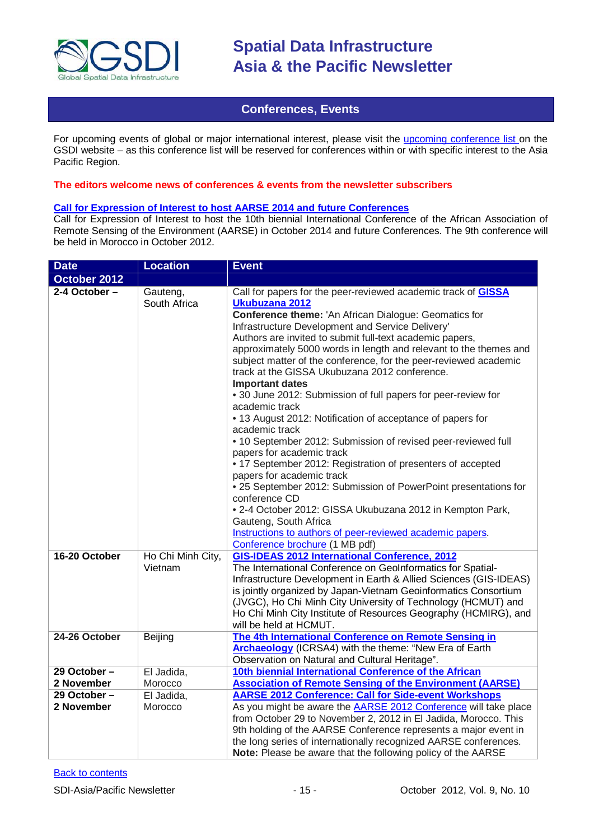

# **Conferences, Events**

<span id="page-14-0"></span>For upcoming events of global or major international interest, please visit the [upcoming conference list o](http://gsdi.org/events/upcnf.asp)n the GSDI website – as this conference list will be reserved for conferences within or with specific interest to the Asia Pacific Region.

# **The editors welcome news of conferences & events from the newsletter subscribers**

# **[Call for Expression of Interest to host AARSE 2014 and future Conferences](http://lists.gsdi.org/pipermail/sdi-africa/2010-November/001135.html)**

Call for Expression of Interest to host the 10th biennial International Conference of the African Association of Remote Sensing of the Environment (AARSE) in October 2014 and future Conferences. The 9th conference will be held in Morocco in October 2012.

| <b>Date</b>                    | <b>Location</b>                         | <b>Event</b>                                                                                                                                                                                                                                                                                                                                                                                                                                                                                                                                                                                                                                                                                                                                                                                                                                                                                                                                                                                                                                                                                                       |  |
|--------------------------------|-----------------------------------------|--------------------------------------------------------------------------------------------------------------------------------------------------------------------------------------------------------------------------------------------------------------------------------------------------------------------------------------------------------------------------------------------------------------------------------------------------------------------------------------------------------------------------------------------------------------------------------------------------------------------------------------------------------------------------------------------------------------------------------------------------------------------------------------------------------------------------------------------------------------------------------------------------------------------------------------------------------------------------------------------------------------------------------------------------------------------------------------------------------------------|--|
| October 2012                   |                                         |                                                                                                                                                                                                                                                                                                                                                                                                                                                                                                                                                                                                                                                                                                                                                                                                                                                                                                                                                                                                                                                                                                                    |  |
| $2-4$ October -                | Gauteng,<br>South Africa                | Call for papers for the peer-reviewed academic track of GISSA<br>Ukubuzana 2012<br>Conference theme: 'An African Dialogue: Geomatics for<br>Infrastructure Development and Service Delivery'<br>Authors are invited to submit full-text academic papers,<br>approximately 5000 words in length and relevant to the themes and<br>subject matter of the conference, for the peer-reviewed academic<br>track at the GISSA Ukubuzana 2012 conference.<br><b>Important dates</b><br>• 30 June 2012: Submission of full papers for peer-review for<br>academic track<br>• 13 August 2012: Notification of acceptance of papers for<br>academic track<br>• 10 September 2012: Submission of revised peer-reviewed full<br>papers for academic track<br>• 17 September 2012: Registration of presenters of accepted<br>papers for academic track<br>• 25 September 2012: Submission of PowerPoint presentations for<br>conference CD<br>• 2-4 October 2012: GISSA Ukubuzana 2012 in Kempton Park,<br>Gauteng, South Africa<br>Instructions to authors of peer-reviewed academic papers.<br>Conference brochure (1 MB pdf) |  |
| 16-20 October<br>24-26 October | Ho Chi Minh City,<br>Vietnam<br>Beijing | <b>GIS-IDEAS 2012 International Conference, 2012</b><br>The International Conference on GeoInformatics for Spatial-<br>Infrastructure Development in Earth & Allied Sciences (GIS-IDEAS)<br>is jointly organized by Japan-Vietnam Geoinformatics Consortium<br>(JVGC), Ho Chi Minh City University of Technology (HCMUT) and<br>Ho Chi Minh City Institute of Resources Geography (HCMIRG), and<br>will be held at HCMUT.<br>The 4th International Conference on Remote Sensing in                                                                                                                                                                                                                                                                                                                                                                                                                                                                                                                                                                                                                                 |  |
|                                |                                         | <b>Archaeology</b> (ICRSA4) with the theme: "New Era of Earth<br>Observation on Natural and Cultural Heritage".                                                                                                                                                                                                                                                                                                                                                                                                                                                                                                                                                                                                                                                                                                                                                                                                                                                                                                                                                                                                    |  |
| 29 October-                    | El Jadida,                              | 10th biennial International Conference of the African                                                                                                                                                                                                                                                                                                                                                                                                                                                                                                                                                                                                                                                                                                                                                                                                                                                                                                                                                                                                                                                              |  |
| 2 November                     | Morocco                                 | <b>Association of Remote Sensing of the Environment (AARSE)</b>                                                                                                                                                                                                                                                                                                                                                                                                                                                                                                                                                                                                                                                                                                                                                                                                                                                                                                                                                                                                                                                    |  |
| 29 October -                   | El Jadida,                              | <b>AARSE 2012 Conference: Call for Side-event Workshops</b>                                                                                                                                                                                                                                                                                                                                                                                                                                                                                                                                                                                                                                                                                                                                                                                                                                                                                                                                                                                                                                                        |  |
| 2 November                     | Morocco                                 | As you might be aware the <b>AARSE 2012 Conference</b> will take place<br>from October 29 to November 2, 2012 in El Jadida, Morocco. This<br>9th holding of the AARSE Conference represents a major event in<br>the long series of internationally recognized AARSE conferences.<br>Note: Please be aware that the following policy of the AARSE                                                                                                                                                                                                                                                                                                                                                                                                                                                                                                                                                                                                                                                                                                                                                                   |  |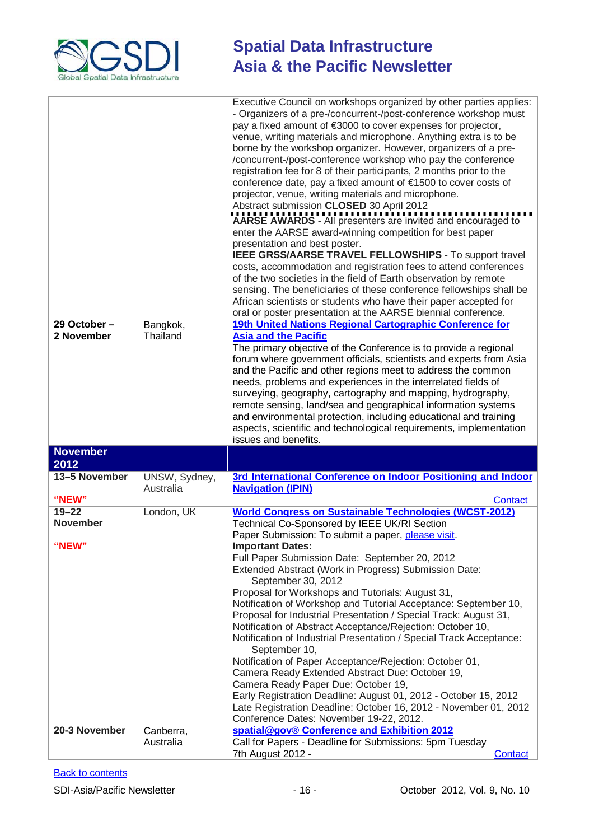

|                                       |                            | Executive Council on workshops organized by other parties applies:<br>- Organizers of a pre-/concurrent-/post-conference workshop must<br>pay a fixed amount of €3000 to cover expenses for projector,<br>venue, writing materials and microphone. Anything extra is to be<br>borne by the workshop organizer. However, organizers of a pre-<br>/concurrent-/post-conference workshop who pay the conference<br>registration fee for 8 of their participants, 2 months prior to the<br>conference date, pay a fixed amount of €1500 to cover costs of<br>projector, venue, writing materials and microphone.<br>Abstract submission CLOSED 30 April 2012<br>AARSE AWARDS - All presenters are invited and encouraged to<br>enter the AARSE award-winning competition for best paper<br>presentation and best poster.<br>IEEE GRSS/AARSE TRAVEL FELLOWSHIPS - To support travel<br>costs, accommodation and registration fees to attend conferences<br>of the two societies in the field of Earth observation by remote<br>sensing. The beneficiaries of these conference fellowships shall be<br>African scientists or students who have their paper accepted for |
|---------------------------------------|----------------------------|-------------------------------------------------------------------------------------------------------------------------------------------------------------------------------------------------------------------------------------------------------------------------------------------------------------------------------------------------------------------------------------------------------------------------------------------------------------------------------------------------------------------------------------------------------------------------------------------------------------------------------------------------------------------------------------------------------------------------------------------------------------------------------------------------------------------------------------------------------------------------------------------------------------------------------------------------------------------------------------------------------------------------------------------------------------------------------------------------------------------------------------------------------------------|
| 29 October-<br>2 November             | Bangkok,<br>Thailand       | oral or poster presentation at the AARSE biennial conference.<br>19th United Nations Regional Cartographic Conference for<br><b>Asia and the Pacific</b><br>The primary objective of the Conference is to provide a regional<br>forum where government officials, scientists and experts from Asia<br>and the Pacific and other regions meet to address the common<br>needs, problems and experiences in the interrelated fields of<br>surveying, geography, cartography and mapping, hydrography,<br>remote sensing, land/sea and geographical information systems<br>and environmental protection, including educational and training<br>aspects, scientific and technological requirements, implementation<br>issues and benefits.                                                                                                                                                                                                                                                                                                                                                                                                                             |
| <b>November</b><br>2012               |                            |                                                                                                                                                                                                                                                                                                                                                                                                                                                                                                                                                                                                                                                                                                                                                                                                                                                                                                                                                                                                                                                                                                                                                                   |
| 13-5 November<br>"NEW"                | UNSW, Sydney,<br>Australia | 3rd International Conference on Indoor Positioning and Indoor<br><b>Navigation (IPIN)</b><br><b>Contact</b>                                                                                                                                                                                                                                                                                                                                                                                                                                                                                                                                                                                                                                                                                                                                                                                                                                                                                                                                                                                                                                                       |
| $19 - 22$<br><b>November</b><br>"NEW" | London, UK                 | <b>World Congress on Sustainable Technologies (WCST-2012)</b><br>Technical Co-Sponsored by IEEE UK/RI Section<br>Paper Submission: To submit a paper, please visit.<br><b>Important Dates:</b><br>Full Paper Submission Date: September 20, 2012<br>Extended Abstract (Work in Progress) Submission Date:<br>September 30, 2012<br>Proposal for Workshops and Tutorials: August 31,<br>Notification of Workshop and Tutorial Acceptance: September 10,<br>Proposal for Industrial Presentation / Special Track: August 31,<br>Notification of Abstract Acceptance/Rejection: October 10,<br>Notification of Industrial Presentation / Special Track Acceptance:<br>September 10,<br>Notification of Paper Acceptance/Rejection: October 01,<br>Camera Ready Extended Abstract Due: October 19,<br>Camera Ready Paper Due: October 19,<br>Early Registration Deadline: August 01, 2012 - October 15, 2012<br>Late Registration Deadline: October 16, 2012 - November 01, 2012<br>Conference Dates: November 19-22, 2012.                                                                                                                                           |
| 20-3 November                         | Canberra,<br>Australia     | spatial@gov® Conference and Exhibition 2012<br>Call for Papers - Deadline for Submissions: 5pm Tuesday<br>7th August 2012 -<br>Contact                                                                                                                                                                                                                                                                                                                                                                                                                                                                                                                                                                                                                                                                                                                                                                                                                                                                                                                                                                                                                            |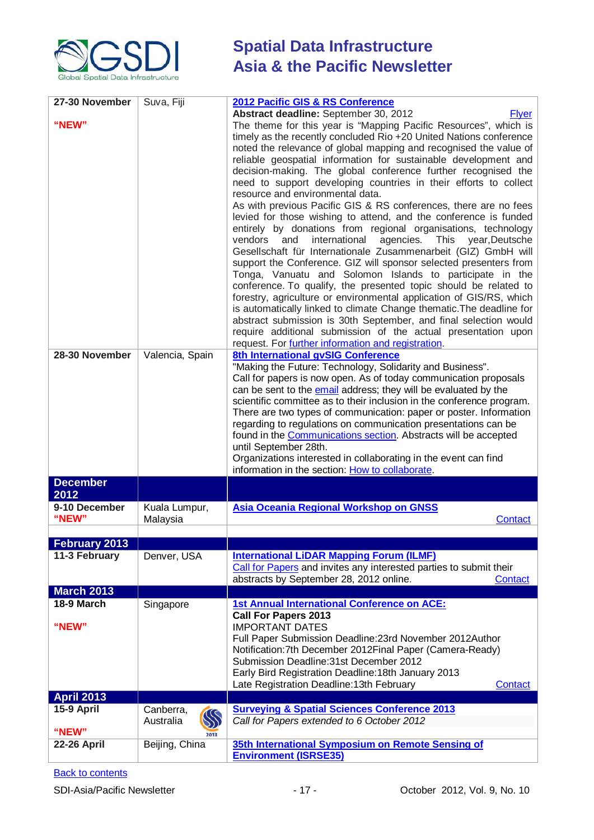

| 27-30 November<br>"NEW" | Suva, Fiji                         | 2012 Pacific GIS & RS Conference<br>Abstract deadline: September 30, 2012<br><b>Flyer</b><br>The theme for this year is "Mapping Pacific Resources", which is<br>timely as the recently concluded Rio +20 United Nations conference<br>noted the relevance of global mapping and recognised the value of<br>reliable geospatial information for sustainable development and<br>decision-making. The global conference further recognised the<br>need to support developing countries in their efforts to collect<br>resource and environmental data.<br>As with previous Pacific GIS & RS conferences, there are no fees<br>levied for those wishing to attend, and the conference is funded<br>entirely by donations from regional organisations, technology<br>vendors<br>international<br>agencies. This year, Deutsche<br>and<br>Gesellschaft für Internationale Zusammenarbeit (GIZ) GmbH will<br>support the Conference. GIZ will sponsor selected presenters from<br>Tonga, Vanuatu and Solomon Islands to participate in the<br>conference. To qualify, the presented topic should be related to<br>forestry, agriculture or environmental application of GIS/RS, which<br>is automatically linked to climate Change thematic. The deadline for<br>abstract submission is 30th September, and final selection would<br>require additional submission of the actual presentation upon<br>request. For further information and registration. |
|-------------------------|------------------------------------|----------------------------------------------------------------------------------------------------------------------------------------------------------------------------------------------------------------------------------------------------------------------------------------------------------------------------------------------------------------------------------------------------------------------------------------------------------------------------------------------------------------------------------------------------------------------------------------------------------------------------------------------------------------------------------------------------------------------------------------------------------------------------------------------------------------------------------------------------------------------------------------------------------------------------------------------------------------------------------------------------------------------------------------------------------------------------------------------------------------------------------------------------------------------------------------------------------------------------------------------------------------------------------------------------------------------------------------------------------------------------------------------------------------------------------------------------|
| 28-30 November          | Valencia, Spain                    | 8th International gvSIG Conference<br>"Making the Future: Technology, Solidarity and Business".<br>Call for papers is now open. As of today communication proposals<br>can be sent to the email address; they will be evaluated by the<br>scientific committee as to their inclusion in the conference program.<br>There are two types of communication: paper or poster. Information<br>regarding to regulations on communication presentations can be<br>found in the <b>Communications section</b> . Abstracts will be accepted<br>until September 28th.<br>Organizations interested in collaborating in the event can find<br>information in the section: How to collaborate.                                                                                                                                                                                                                                                                                                                                                                                                                                                                                                                                                                                                                                                                                                                                                                  |
| <b>December</b><br>2012 |                                    |                                                                                                                                                                                                                                                                                                                                                                                                                                                                                                                                                                                                                                                                                                                                                                                                                                                                                                                                                                                                                                                                                                                                                                                                                                                                                                                                                                                                                                                    |
| 9-10 December<br>"NEW"  | Kuala Lumpur,<br>Malaysia          | Asia Oceania Regional Workshop on GNSS<br>Contact                                                                                                                                                                                                                                                                                                                                                                                                                                                                                                                                                                                                                                                                                                                                                                                                                                                                                                                                                                                                                                                                                                                                                                                                                                                                                                                                                                                                  |
| February 2013           |                                    |                                                                                                                                                                                                                                                                                                                                                                                                                                                                                                                                                                                                                                                                                                                                                                                                                                                                                                                                                                                                                                                                                                                                                                                                                                                                                                                                                                                                                                                    |
| 11-3 February           | Denver, USA                        | <b>International LiDAR Mapping Forum (ILMF)</b><br>Call for Papers and invites any interested parties to submit their<br>abstracts by September 28, 2012 online.<br>Contact                                                                                                                                                                                                                                                                                                                                                                                                                                                                                                                                                                                                                                                                                                                                                                                                                                                                                                                                                                                                                                                                                                                                                                                                                                                                        |
| <b>March 2013</b>       |                                    |                                                                                                                                                                                                                                                                                                                                                                                                                                                                                                                                                                                                                                                                                                                                                                                                                                                                                                                                                                                                                                                                                                                                                                                                                                                                                                                                                                                                                                                    |
| 18-9 March<br>"NEW"     | Singapore                          | <b>1st Annual International Conference on ACE:</b><br><b>Call For Papers 2013</b><br><b>IMPORTANT DATES</b><br>Full Paper Submission Deadline: 23rd November 2012Author<br>Notification: 7th December 2012 Final Paper (Camera-Ready)<br>Submission Deadline: 31st December 2012<br>Early Bird Registration Deadline: 18th January 2013<br>Late Registration Deadline: 13th February<br>Contact                                                                                                                                                                                                                                                                                                                                                                                                                                                                                                                                                                                                                                                                                                                                                                                                                                                                                                                                                                                                                                                    |
| <b>April 2013</b>       |                                    |                                                                                                                                                                                                                                                                                                                                                                                                                                                                                                                                                                                                                                                                                                                                                                                                                                                                                                                                                                                                                                                                                                                                                                                                                                                                                                                                                                                                                                                    |
| 15-9 April              | Canberra,                          | <b>Surveying &amp; Spatial Sciences Conference 2013</b>                                                                                                                                                                                                                                                                                                                                                                                                                                                                                                                                                                                                                                                                                                                                                                                                                                                                                                                                                                                                                                                                                                                                                                                                                                                                                                                                                                                            |
| "NEW"                   | $\mathcal{D}$<br>Australia<br>2013 | Call for Papers extended to 6 October 2012                                                                                                                                                                                                                                                                                                                                                                                                                                                                                                                                                                                                                                                                                                                                                                                                                                                                                                                                                                                                                                                                                                                                                                                                                                                                                                                                                                                                         |
| <b>22-26 April</b>      | Beijing, China                     | 35th International Symposium on Remote Sensing of<br><b>Environment (ISRSE35)</b>                                                                                                                                                                                                                                                                                                                                                                                                                                                                                                                                                                                                                                                                                                                                                                                                                                                                                                                                                                                                                                                                                                                                                                                                                                                                                                                                                                  |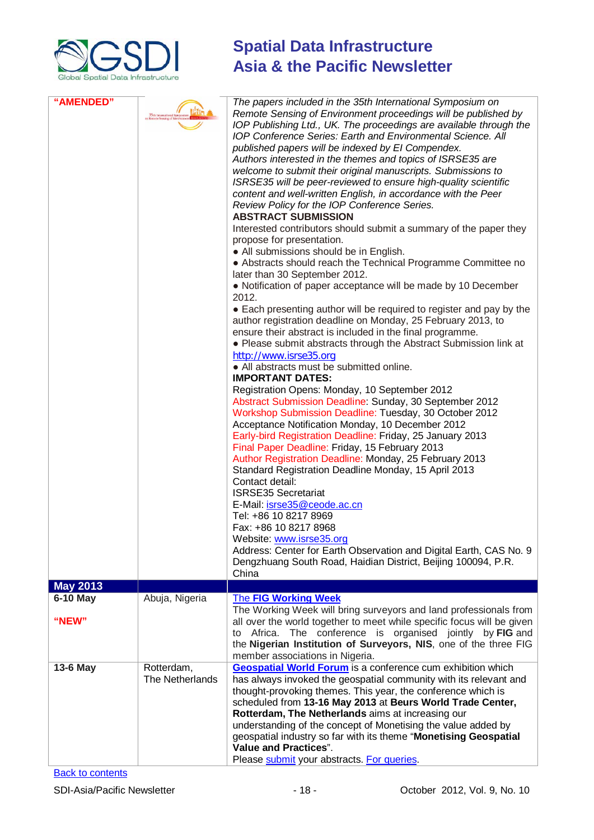

| "AMENDED"       | Little<br>35th International Symposium<br>Remote Sensing of Environment | The papers included in the 35th International Symposium on<br>Remote Sensing of Environment proceedings will be published by<br>IOP Publishing Ltd., UK. The proceedings are available through the<br><b>IOP Conference Series: Earth and Environmental Science. All</b><br>published papers will be indexed by El Compendex.<br>Authors interested in the themes and topics of ISRSE35 are<br>welcome to submit their original manuscripts. Submissions to<br>ISRSE35 will be peer-reviewed to ensure high-quality scientific<br>content and well-written English, in accordance with the Peer<br>Review Policy for the IOP Conference Series.<br><b>ABSTRACT SUBMISSION</b><br>Interested contributors should submit a summary of the paper they<br>propose for presentation.<br>• All submissions should be in English.<br>• Abstracts should reach the Technical Programme Committee no<br>later than 30 September 2012.<br>• Notification of paper acceptance will be made by 10 December<br>2012.<br>• Each presenting author will be required to register and pay by the<br>author registration deadline on Monday, 25 February 2013, to<br>ensure their abstract is included in the final programme.<br>• Please submit abstracts through the Abstract Submission link at<br>http://www.isrse35.org<br>• All abstracts must be submitted online.<br><b>IMPORTANT DATES:</b><br>Registration Opens: Monday, 10 September 2012<br>Abstract Submission Deadline: Sunday, 30 September 2012<br>Workshop Submission Deadline: Tuesday, 30 October 2012<br>Acceptance Notification Monday, 10 December 2012<br>Early-bird Registration Deadline: Friday, 25 January 2013<br>Final Paper Deadline: Friday, 15 February 2013<br>Author Registration Deadline: Monday, 25 February 2013<br>Standard Registration Deadline Monday, 15 April 2013<br>Contact detail:<br><b>ISRSE35 Secretariat</b><br>E-Mail: isrse35@ceode.ac.cn<br>Tel: +86 10 8217 8969<br>Fax: +86 10 8217 8968<br>Website: www.isrse35.org<br>Address: Center for Earth Observation and Digital Earth, CAS No. 9<br>Dengzhuang South Road, Haidian District, Beijing 100094, P.R.<br>China |
|-----------------|-------------------------------------------------------------------------|--------------------------------------------------------------------------------------------------------------------------------------------------------------------------------------------------------------------------------------------------------------------------------------------------------------------------------------------------------------------------------------------------------------------------------------------------------------------------------------------------------------------------------------------------------------------------------------------------------------------------------------------------------------------------------------------------------------------------------------------------------------------------------------------------------------------------------------------------------------------------------------------------------------------------------------------------------------------------------------------------------------------------------------------------------------------------------------------------------------------------------------------------------------------------------------------------------------------------------------------------------------------------------------------------------------------------------------------------------------------------------------------------------------------------------------------------------------------------------------------------------------------------------------------------------------------------------------------------------------------------------------------------------------------------------------------------------------------------------------------------------------------------------------------------------------------------------------------------------------------------------------------------------------------------------------------------------------------------------------------------------------------------------------------------------------------------------------------------------------------------------------------------------------|
| <b>May 2013</b> |                                                                         |                                                                                                                                                                                                                                                                                                                                                                                                                                                                                                                                                                                                                                                                                                                                                                                                                                                                                                                                                                                                                                                                                                                                                                                                                                                                                                                                                                                                                                                                                                                                                                                                                                                                                                                                                                                                                                                                                                                                                                                                                                                                                                                                                              |
| <b>6-10 May</b> | Abuja, Nigeria                                                          | <b>The FIG Working Week</b><br>The Working Week will bring surveyors and land professionals from                                                                                                                                                                                                                                                                                                                                                                                                                                                                                                                                                                                                                                                                                                                                                                                                                                                                                                                                                                                                                                                                                                                                                                                                                                                                                                                                                                                                                                                                                                                                                                                                                                                                                                                                                                                                                                                                                                                                                                                                                                                             |
| "NEW"           |                                                                         | all over the world together to meet while specific focus will be given<br>Africa.<br>The conference is organised jointly by FIG and<br>to<br>the Nigerian Institution of Surveyors, NIS, one of the three FIG<br>member associations in Nigeria.                                                                                                                                                                                                                                                                                                                                                                                                                                                                                                                                                                                                                                                                                                                                                                                                                                                                                                                                                                                                                                                                                                                                                                                                                                                                                                                                                                                                                                                                                                                                                                                                                                                                                                                                                                                                                                                                                                             |
| 13-6 May        | Rotterdam,<br>The Netherlands                                           | <b>Geospatial World Forum</b> is a conference cum exhibition which<br>has always invoked the geospatial community with its relevant and<br>thought-provoking themes. This year, the conference which is<br>scheduled from 13-16 May 2013 at Beurs World Trade Center,<br>Rotterdam, The Netherlands aims at increasing our<br>understanding of the concept of Monetising the value added by<br>geospatial industry so far with its theme "Monetising Geospatial<br><b>Value and Practices".</b><br>Please submit your abstracts. For queries.                                                                                                                                                                                                                                                                                                                                                                                                                                                                                                                                                                                                                                                                                                                                                                                                                                                                                                                                                                                                                                                                                                                                                                                                                                                                                                                                                                                                                                                                                                                                                                                                                |